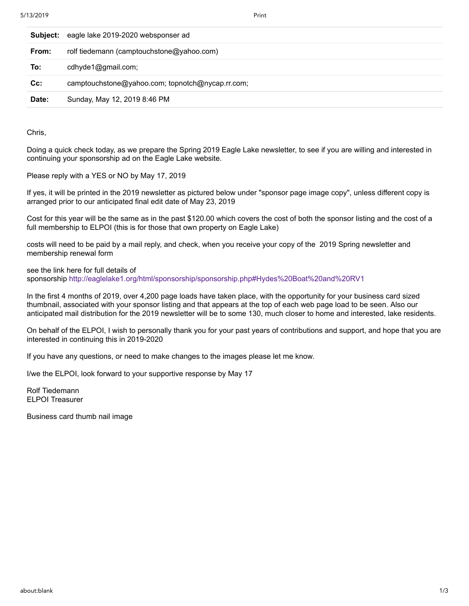| Subject: | eagle lake 2019-2020 websponser ad               |
|----------|--------------------------------------------------|
| From:    | rolf tiedemann (camptouchstone@yahoo.com)        |
| To:      | cdhyde1@gmail.com;                               |
| $Cc$ :   | camptouchstone@yahoo.com; topnotch@nycap.rr.com; |
| Date:    | Sunday, May 12, 2019 8:46 PM                     |

Chris,

Doing a quick check today, as we prepare the Spring 2019 Eagle Lake newsletter, to see if you are willing and interested in continuing your sponsorship ad on the Eagle Lake website.

Please reply with a YES or NO by May 17, 2019

If yes, it will be printed in the 2019 newsletter as pictured below under "sponsor page image copy", unless different copy is arranged prior to our anticipated final edit date of May 23, 2019

Cost for this year will be the same as in the past \$120.00 which covers the cost of both the sponsor listing and the cost of a full membership to ELPOI (this is for those that own property on Eagle Lake)

costs will need to be paid by a mail reply, and check, when you receive your copy of the 2019 Spring newsletter and membership renewal form

see the link here for full details of sponsorship<http://eaglelake1.org/html/sponsorship/sponsorship.php#Hydes%20Boat%20and%20RV1>

In the first 4 months of 2019, over 4,200 page loads have taken place, with the opportunity for your business card sized thumbnail, associated with your sponsor listing and that appears at the top of each web page load to be seen. Also our anticipated mail distribution for the 2019 newsletter will be to some 130, much closer to home and interested, lake residents.

On behalf of the ELPOI, I wish to personally thank you for your past years of contributions and support, and hope that you are interested in continuing this in 2019-2020

If you have any questions, or need to make changes to the images please let me know.

I/we the ELPOI, look forward to your supportive response by May 17

Rolf Tiedemann ELPOI Treasurer

Business card thumb nail image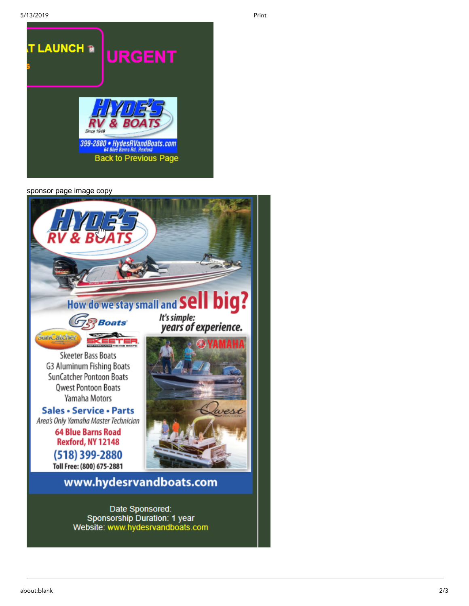

sponsor page image copy



Date Sponsored: Sponsorship Duration: 1 year Website: www.hydesrvandboats.com